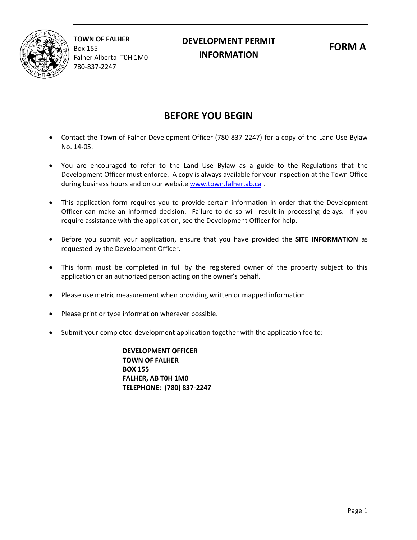

**TOWN OF FALHER** Box 155 Falher Alberta T0H 1M0 780-837-2247

## **DEVELOPMENT PERMIT**<br> **CORM A** PERMIT PERMIT PORM A **APPLICATION INFORMATION**

## **BEFORE YOU BEGIN**

- Contact the Town of Falher Development Officer (780 837-2247) for a copy of the Land Use Bylaw No. 14-05.
- You are encouraged to refer to the Land Use Bylaw as a guide to the Regulations that the Development Officer must enforce. A copy is always available for your inspection at the Town Office during business hours and on our website [www.town.falher.ab.ca](http://www.town.falher.ab.ca/).
- This application form requires you to provide certain information in order that the Development Officer can make an informed decision. Failure to do so will result in processing delays. If you require assistance with the application, see the Development Officer for help.
- Before you submit your application, ensure that you have provided the **SITE INFORMATION** as requested by the Development Officer.
- This form must be completed in full by the registered owner of the property subject to this application or an authorized person acting on the owner's behalf.
- Please use metric measurement when providing written or mapped information.
- Please print or type information wherever possible.
- Submit your completed development application together with the application fee to:

**DEVELOPMENT OFFICER TOWN OF FALHER BOX 155 FALHER, AB T0H 1M0 TELEPHONE: (780) 837-2247**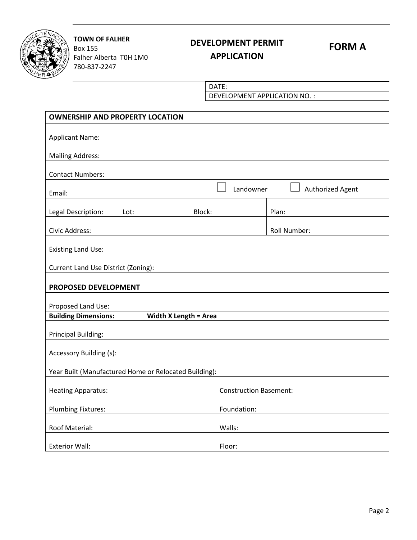

**TOWN OF FALHER** Box 155 Falher Alberta T0H 1M0 780-837-2247

# **DEVELOPMENT PERMIT FORM A**

### **APPLICATION**

DATE:

DEVELOPMENT APPLICATION NO. :

| <b>OWNERSHIP AND PROPERTY LOCATION</b>                      |        |                               |                  |  |  |  |  |  |  |
|-------------------------------------------------------------|--------|-------------------------------|------------------|--|--|--|--|--|--|
| <b>Applicant Name:</b>                                      |        |                               |                  |  |  |  |  |  |  |
| <b>Mailing Address:</b>                                     |        |                               |                  |  |  |  |  |  |  |
| <b>Contact Numbers:</b>                                     |        |                               |                  |  |  |  |  |  |  |
| Email:                                                      |        | Landowner                     | Authorized Agent |  |  |  |  |  |  |
| Legal Description:<br>Lot:                                  | Block: |                               | Plan:            |  |  |  |  |  |  |
| Civic Address:                                              |        | Roll Number:                  |                  |  |  |  |  |  |  |
| <b>Existing Land Use:</b>                                   |        |                               |                  |  |  |  |  |  |  |
| Current Land Use District (Zoning):                         |        |                               |                  |  |  |  |  |  |  |
| PROPOSED DEVELOPMENT                                        |        |                               |                  |  |  |  |  |  |  |
| Proposed Land Use:                                          |        |                               |                  |  |  |  |  |  |  |
| <b>Building Dimensions:</b><br><b>Width X Length = Area</b> |        |                               |                  |  |  |  |  |  |  |
| <b>Principal Building:</b>                                  |        |                               |                  |  |  |  |  |  |  |
| Accessory Building (s):                                     |        |                               |                  |  |  |  |  |  |  |
| Year Built (Manufactured Home or Relocated Building):       |        |                               |                  |  |  |  |  |  |  |
| <b>Heating Apparatus:</b>                                   |        | <b>Construction Basement:</b> |                  |  |  |  |  |  |  |
| Plumbing Fixtures:                                          |        | Foundation:                   |                  |  |  |  |  |  |  |
| Roof Material:                                              |        | Walls:                        |                  |  |  |  |  |  |  |
| <b>Exterior Wall:</b>                                       |        | Floor:                        |                  |  |  |  |  |  |  |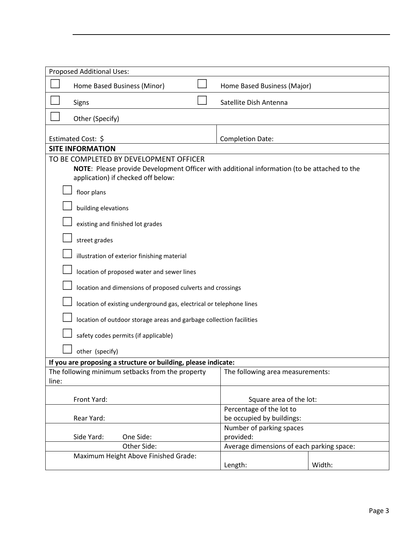| Proposed Additional Uses:                                                                                                                                                   |                                                       |        |  |  |  |  |  |  |  |  |
|-----------------------------------------------------------------------------------------------------------------------------------------------------------------------------|-------------------------------------------------------|--------|--|--|--|--|--|--|--|--|
| Home Based Business (Minor)                                                                                                                                                 | Home Based Business (Major)                           |        |  |  |  |  |  |  |  |  |
| Signs                                                                                                                                                                       | Satellite Dish Antenna                                |        |  |  |  |  |  |  |  |  |
| Other (Specify)                                                                                                                                                             |                                                       |        |  |  |  |  |  |  |  |  |
|                                                                                                                                                                             |                                                       |        |  |  |  |  |  |  |  |  |
| Estimated Cost: \$                                                                                                                                                          | <b>Completion Date:</b>                               |        |  |  |  |  |  |  |  |  |
| <b>SITE INFORMATION</b>                                                                                                                                                     |                                                       |        |  |  |  |  |  |  |  |  |
| TO BE COMPLETED BY DEVELOPMENT OFFICER<br>NOTE: Please provide Development Officer with additional information (to be attached to the<br>application) if checked off below: |                                                       |        |  |  |  |  |  |  |  |  |
| floor plans                                                                                                                                                                 |                                                       |        |  |  |  |  |  |  |  |  |
| building elevations                                                                                                                                                         |                                                       |        |  |  |  |  |  |  |  |  |
| existing and finished lot grades                                                                                                                                            |                                                       |        |  |  |  |  |  |  |  |  |
| street grades                                                                                                                                                               |                                                       |        |  |  |  |  |  |  |  |  |
| illustration of exterior finishing material                                                                                                                                 |                                                       |        |  |  |  |  |  |  |  |  |
| location of proposed water and sewer lines                                                                                                                                  |                                                       |        |  |  |  |  |  |  |  |  |
| location and dimensions of proposed culverts and crossings                                                                                                                  |                                                       |        |  |  |  |  |  |  |  |  |
| location of existing underground gas, electrical or telephone lines                                                                                                         |                                                       |        |  |  |  |  |  |  |  |  |
| location of outdoor storage areas and garbage collection facilities                                                                                                         |                                                       |        |  |  |  |  |  |  |  |  |
| safety codes permits (if applicable)                                                                                                                                        |                                                       |        |  |  |  |  |  |  |  |  |
| other (specify)                                                                                                                                                             |                                                       |        |  |  |  |  |  |  |  |  |
| If you are proposing a structure or building, please indicate:                                                                                                              |                                                       |        |  |  |  |  |  |  |  |  |
| The following minimum setbacks from the property<br>line:                                                                                                                   | The following area measurements:                      |        |  |  |  |  |  |  |  |  |
|                                                                                                                                                                             |                                                       |        |  |  |  |  |  |  |  |  |
| Front Yard:                                                                                                                                                                 | Square area of the lot:                               |        |  |  |  |  |  |  |  |  |
| Rear Yard:                                                                                                                                                                  | Percentage of the lot to<br>be occupied by buildings: |        |  |  |  |  |  |  |  |  |
| One Side:<br>Side Yard:                                                                                                                                                     | Number of parking spaces<br>provided:                 |        |  |  |  |  |  |  |  |  |
| Other Side:                                                                                                                                                                 | Average dimensions of each parking space:             |        |  |  |  |  |  |  |  |  |
| Maximum Height Above Finished Grade:                                                                                                                                        |                                                       |        |  |  |  |  |  |  |  |  |
|                                                                                                                                                                             | Length:                                               | Width: |  |  |  |  |  |  |  |  |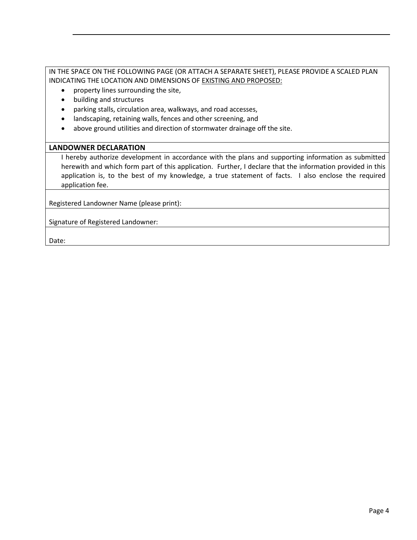IN THE SPACE ON THE FOLLOWING PAGE (OR ATTACH A SEPARATE SHEET), PLEASE PROVIDE A SCALED PLAN INDICATING THE LOCATION AND DIMENSIONS OF EXISTING AND PROPOSED:

- property lines surrounding the site,
- building and structures
- parking stalls, circulation area, walkways, and road accesses,
- landscaping, retaining walls, fences and other screening, and
- above ground utilities and direction of stormwater drainage off the site.

#### **LANDOWNER DECLARATION**

I hereby authorize development in accordance with the plans and supporting information as submitted herewith and which form part of this application. Further, I declare that the information provided in this application is, to the best of my knowledge, a true statement of facts. I also enclose the required application fee.

Registered Landowner Name (please print):

Signature of Registered Landowner:

Date: